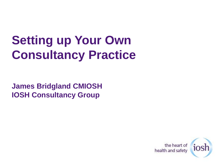# **Setting up Your Own Consultancy Practice**

**James Bridgland CMIOSH IOSH Consultancy Group**

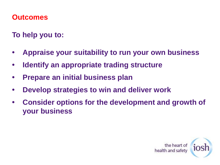#### **Outcomes**

**To help you to:**

- **• Appraise your suitability to run your own business**
- **• Identify an appropriate trading structure**
- **• Prepare an initial business plan**
- **• Develop strategies to win and deliver work**
- **• Consider options for the development and growth of your business**

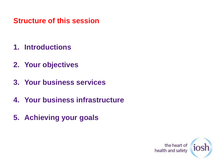#### **Structure of this session**

- **1. Introductions**
- **2. Your objectives**
- **3. Your business services**
- **4. Your business infrastructure**
- **5. Achieving your goals**

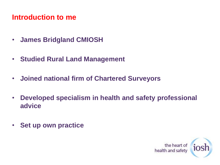#### **Introduction to me**

- **James Bridgland CMIOSH**
- **Studied Rural Land Management**
- **Joined national firm of Chartered Surveyors**
- **Developed specialism in health and safety professional advice**
- **Set up own practice**

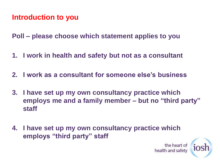#### **Introduction to you**

**Poll – please choose which statement applies to you**

- **1. I work in health and safety but not as a consultant**
- **2. I work as a consultant for someone else's business**
- **3. I have set up my own consultancy practice which employs me and a family member – but no "third party" staff**
- **4. I have set up my own consultancy practice which employs "third party" staff**

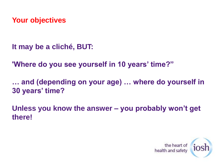**It may be a cliché, BUT:**

**'Where do you see yourself in 10 years' time?"**

**… and (depending on your age) … where do yourself in 30 years' time?**

**Unless you know the answer – you probably won't get there!**

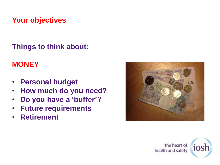**Things to think about:**

#### **MONEY**

- **Personal budget**
- **How much do you need?**
- **Do you have a 'buffer'?**
- **Future requirements**
- **Retirement**



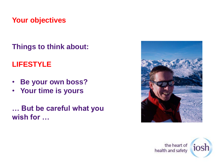**Things to think about:**

#### **LIFESTYLE**

- **Be your own boss?**
- **Your time is yours**

**… But be careful what you wish for …**



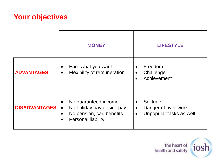|                      | <b>MONEY</b>                                                                                                                                                     | <b>LIFESTYLE</b>                                                                                  |
|----------------------|------------------------------------------------------------------------------------------------------------------------------------------------------------------|---------------------------------------------------------------------------------------------------|
| <b>ADVANTAGES</b>    | Earn what you want<br>$\bullet$<br><b>Flexibility of remuneration</b><br>$\bullet$                                                                               | Freedom<br>$\bullet$<br>Challenge<br>$\bullet$<br>Achievement<br>$\bullet$                        |
| <b>DISADVANTAGES</b> | No guaranteed income<br>$\bullet$<br>No holiday pay or sick pay<br>$\bullet$<br>No pension, car, benefits<br>$\bullet$<br><b>Personal liability</b><br>$\bullet$ | Solitude<br>$\bullet$<br>Danger of over-work<br>$\bullet$<br>Unpopular tasks as well<br>$\bullet$ |

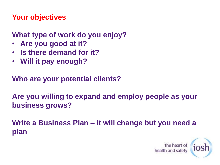#### **What type of work do you enjoy?**

- **Are you good at it?**
- **Is there demand for it?**
- **Will it pay enough?**

**Who are your potential clients?**

**Are you willing to expand and employ people as your business grows?**

**Write a Business Plan – it will change but you need a plan**

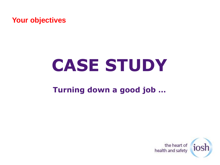# **CASE STUDY**

#### **Turning down a good job …**

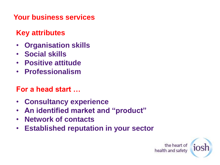#### **Your business services**

#### **Key attributes**

- **Organisation skills**
- **Social skills**
- **Positive attitude**
- **Professionalism**

#### **For a head start …**

- **Consultancy experience**
- **An identified market and "product"**
- **Network of contacts**
- **Established reputation in your sector**

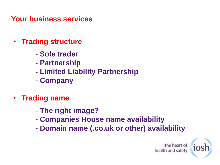**Your business services**

- **Trading structure**
	- **- Sole trader**
	- **- Partnership**
	- **- Limited Liability Partnership**
	- **- Company**
- **Trading name**
	- **- The right image?**
	- **- Companies House name availability**
	- **- Domain name (.co.uk or other) availability**

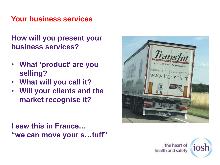#### **Your business services**

**How will you present your business services?**

- **What 'product' are you selling?**
- **What will you call it?**
- **Will your clients and the market recognise it?**

#### **I saw this in France… "we can move your s…tuff"**



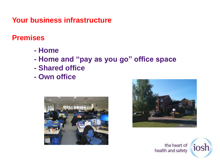#### **Premises**

- **- Home**
- **- Home and "pay as you go" office space**
- **- Shared office**
- **- Own office**





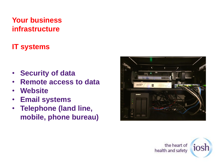#### **IT systems**

- **Security of data**
- **Remote access to data**
- **Website**
- **Email systems**
- **Telephone (land line, mobile, phone bureau)**



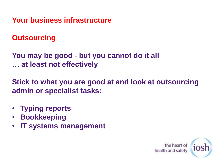**Outsourcing**

**You may be good - but you cannot do it all … at least not effectively**

**Stick to what you are good at and look at outsourcing admin or specialist tasks:**

- **Typing reports**
- **Bookkeeping**
- **IT systems management**

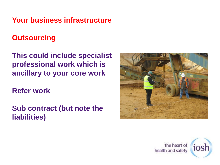#### **Outsourcing**

**This could include specialist professional work which is ancillary to your core work**

**Refer work**

**Sub contract (but note the liabilities)**



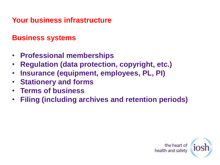#### **Business systems**

- **Professional memberships**
- **Regulation (data protection, copyright, etc.)**
- **Insurance (equipment, employees, PL, PI)**
- **Stationery and forms**
- **Terms of business**
- **Filing (including archives and retention periods)**

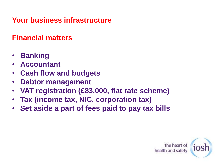#### **Financial matters**

- **Banking**
- **Accountant**
- **Cash flow and budgets**
- **Debtor management**
- **VAT registration (£83,000, flat rate scheme)**
- **Tax (income tax, NIC, corporation tax)**
- **Set aside a part of fees paid to pay tax bills**

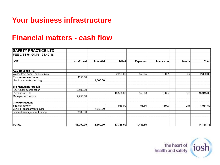#### **Financial matters - cash flow**

| <b>SAFETY PRACTICE LTD</b>     |                  |                  |               |                 |             |              |              |
|--------------------------------|------------------|------------------|---------------|-----------------|-------------|--------------|--------------|
| FEE LIST 01.01.16 - 31.12.16   |                  |                  |               |                 |             |              |              |
| <b>JOB</b>                     | <b>Confirmed</b> | <b>Potential</b> | <b>Billed</b> | <b>Expenses</b> | Invoice no. | <b>Month</b> | <b>Total</b> |
| <b>ABC Holdings Plc</b>        |                  |                  |               |                 |             |              |              |
| West Street depot noise survey |                  |                  | 2,200.00      | 659.35          | 16001       | Jan          | 2,859.35     |
| Risk assessment work           | 4250.00          |                  |               |                 |             |              |              |
| Health and safety training     |                  | 1,800.00         |               |                 |             |              |              |
| <b>Big Manufacturers Ltd</b>   |                  |                  |               |                 |             |              |              |
| ISO 18001 accreditation        | 6,500.00         |                  |               |                 |             |              |              |
| Premises audits                |                  |                  | 10,560.00     | 358.00          | 16002       | Feb          | 10,918.00    |
| Management reports             | 2,750.00         |                  |               |                 |             |              |              |
| <b>City Productions</b>        |                  |                  |               |                 |             |              |              |
| Strategy review                |                  |                  | 965.00        | 96.50           | 16003       | Mar          | 1,061.50     |
| COSHH assessment advice        |                  | 6,850.00         |               |                 |             |              |              |
| Incident management training   | 3800.00          |                  |               |                 |             |              |              |
|                                |                  |                  |               |                 |             |              |              |
| <b>TOTAL</b>                   | 17,300.00        | 8,650.00         | 13,725.00     | 1,113.85        |             |              | 14,838.85    |

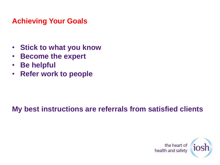#### **Achieving Your Goals**

- **Stick to what you know**
- **Become the expert**
- **Be helpful**
- **Refer work to people**

#### **My best instructions are referrals from satisfied clients**

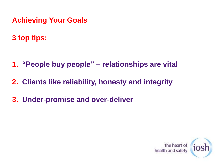- **Achieving Your Goals**
- **3 top tips:**

- **1. "People buy people" – relationships are vital**
- **2. Clients like reliability, honesty and integrity**
- **3. Under-promise and over-deliver**

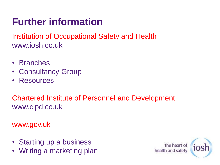### **Further information**

Institution of Occupational Safety and Health www.iosh.co.uk

- Branches
- Consultancy Group
- Resources

Chartered Institute of Personnel and Development www.cipd.co.uk

#### www.gov.uk

- Starting up a business
- Writing a marketing plan